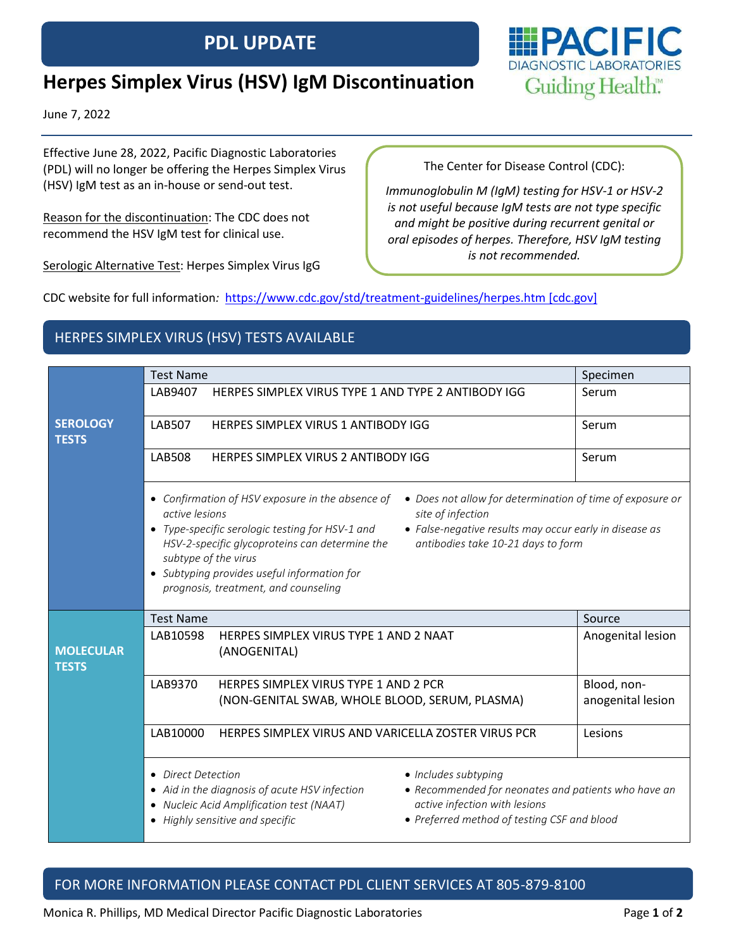## **PDL UPDATE**

# **Herpes Simplex Virus (HSV) IgM Discontinuation**

June 7, 2022

Effective June 28, 2022, Pacific Diagnostic Laboratories (PDL) will no longer be offering the Herpes Simplex Virus (HSV) IgM test as an in-house or send-out test.

Reason for the discontinuation: The CDC does not recommend the HSV IgM test for clinical use.

Serologic Alternative Test: Herpes Simplex Virus IgG

The Center for Disease Control (CDC):

*Immunoglobulin M (IgM) testing for HSV-1 or HSV-2 is not useful because IgM tests are not type specific and might be positive during recurrent genital or oral episodes of herpes. Therefore, HSV IgM testing is not recommended.*

CDC website for full information*:* [https://www.cdc.gov/std/treatment-guidelines/herpes.htm \[cdc.gov\]](https://urldefense.com/v3/__https:/www.cdc.gov/std/treatment-guidelines/herpes.htm__;!!G054beKsZp_u!mAJ9VYk0ScrUTUq6p_akw7DNkXEYJHHG9HY3Jf7lxypsiLtMfxXjE7sXm-d-EBaUSG9ocrkGJN_mviS2PMy6caOE3D1Q$)

### HERPES SIMPLEX VIRUS (HSV) TESTS AVAILABLE

|                                  | <b>Test Name</b>                                                                                                                                                                                                                                                                                                                                                                                                                                                         | Specimen                         |  |
|----------------------------------|--------------------------------------------------------------------------------------------------------------------------------------------------------------------------------------------------------------------------------------------------------------------------------------------------------------------------------------------------------------------------------------------------------------------------------------------------------------------------|----------------------------------|--|
|                                  | LAB9407<br>HERPES SIMPLEX VIRUS TYPE 1 AND TYPE 2 ANTIBODY IGG                                                                                                                                                                                                                                                                                                                                                                                                           | Serum                            |  |
| <b>SEROLOGY</b><br><b>TESTS</b>  | <b>LAB507</b><br><b>HERPES SIMPLEX VIRUS 1 ANTIBODY IGG</b>                                                                                                                                                                                                                                                                                                                                                                                                              | Serum                            |  |
|                                  | <b>LAB508</b><br>HERPES SIMPLEX VIRUS 2 ANTIBODY IGG                                                                                                                                                                                                                                                                                                                                                                                                                     | Serum                            |  |
|                                  | • Confirmation of HSV exposure in the absence of<br>• Does not allow for determination of time of exposure or<br>active lesions<br>site of infection<br>• Type-specific serologic testing for HSV-1 and<br>• False-negative results may occur early in disease as<br>antibodies take 10-21 days to form<br>HSV-2-specific glycoproteins can determine the<br>subtype of the virus<br>• Subtyping provides useful information for<br>prognosis, treatment, and counseling |                                  |  |
|                                  | <b>Test Name</b>                                                                                                                                                                                                                                                                                                                                                                                                                                                         | Source                           |  |
| <b>MOLECULAR</b><br><b>TESTS</b> | LAB10598<br>HERPES SIMPLEX VIRUS TYPE 1 AND 2 NAAT<br>(ANOGENITAL)                                                                                                                                                                                                                                                                                                                                                                                                       | Anogenital lesion                |  |
|                                  | LAB9370<br>HERPES SIMPLEX VIRUS TYPE 1 AND 2 PCR<br>(NON-GENITAL SWAB, WHOLE BLOOD, SERUM, PLASMA)                                                                                                                                                                                                                                                                                                                                                                       | Blood, non-<br>anogenital lesion |  |
|                                  | LAB10000<br>HERPES SIMPLEX VIRUS AND VARICELLA ZOSTER VIRUS PCR                                                                                                                                                                                                                                                                                                                                                                                                          | Lesions                          |  |
|                                  | • Direct Detection<br>• Includes subtyping<br>• Aid in the diagnosis of acute HSV infection<br>• Recommended for neonates and patients who have an<br>active infection with lesions<br>• Nucleic Acid Amplification test (NAAT)<br>• Preferred method of testing CSF and blood<br>• Highly sensitive and specific                                                                                                                                                        |                                  |  |

### FOR MORE INFORMATION PLEASE CONTACT PDL CLIENT SERVICES AT 805-879-8100